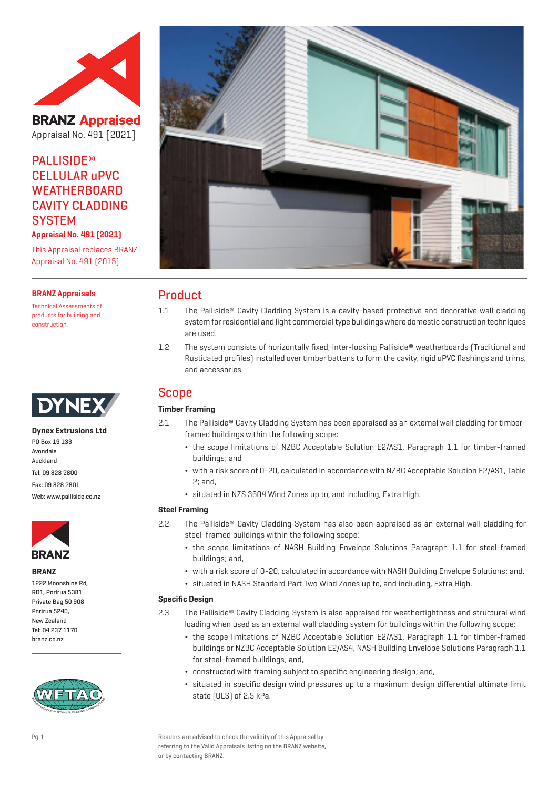

**BRANZ Appraised** Appraisal No. 491 [2021]

# **PALLISIDE®** CELLULAR uPVC **WEATHERBOARD** CAVITY CLADDING **SYSTEM**

**Appraisal No. 491 (2021)**

This Appraisal replaces BRANZ Appraisal No. 491 (2015)

#### **BRANZ Appraisals**

Technical Assessments of products for building and construction.



## **Dynex Extrusions Ltd**

PO Box 19 133 Avondale Auckland Tel: 09 828 2800 Fax: 09 828 2801

Web: www.palliside.co.nz



#### **BRANZ**

1222 Moonshine Rd, RD1, Porirua 5381 Private Bag 50 908 Porirua 5240, New Zealand Tel: 04 237 1170 branz.co.nz





## Product

- 1.1 The Palliside® Cavity Cladding System is a cavity-based protective and decorative wall cladding system for residential and light commercial type buildings where domestic construction techniques are used.
- 1.2 The system consists of horizontally fixed, inter-locking Palliside® weatherboards (Traditional and Rusticated profiles) installed over timber battens to form the cavity, rigid uPVC flashings and trims, and accessories.

## Scope

## **Timber Framing**

- 2.1 The Palliside® Cavity Cladding System has been appraised as an external wall cladding for timberframed buildings within the following scope:
	- ¬ the scope limitations of NZBC Acceptable Solution E2/AS1, Paragraph 1.1 for timber-framed buildings; and
	- ¬ with a risk score of 0-20, calculated in accordance with NZBC Acceptable Solution E2/AS1, Table 2; and,
	- ¬ situated in NZS 3604 Wind Zones up to, and including, Extra High.

## **Steel Framing**

- 2.2 The Palliside® Cavity Cladding System has also been appraised as an external wall cladding for steel-framed buildings within the following scope:
	- ¬ the scope limitations of NASH Building Envelope Solutions Paragraph 1.1 for steel-framed buildings; and,
	- ¬ with a risk score of 0-20, calculated in accordance with NASH Building Envelope Solutions; and,
	- ¬ situated in NASH Standard Part Two Wind Zones up to, and including, Extra High.

#### **Specific Design**

- 2.3 The Palliside® Cavity Cladding System is also appraised for weathertightness and structural wind loading when used as an external wall cladding system for buildings within the following scope:
	- ¬ the scope limitations of NZBC Acceptable Solution E2/AS1, Paragraph 1.1 for timber-framed buildings or NZBC Acceptable Solution E2/AS4, NASH Building Envelope Solutions Paragraph 1.1 for steel-framed buildings; and,
	- ¬ constructed with framing subject to specific engineering design; and,
	- ¬ situated in specific design wind pressures up to a maximum design differential ultimate limit state (ULS) of 2.5 kPa.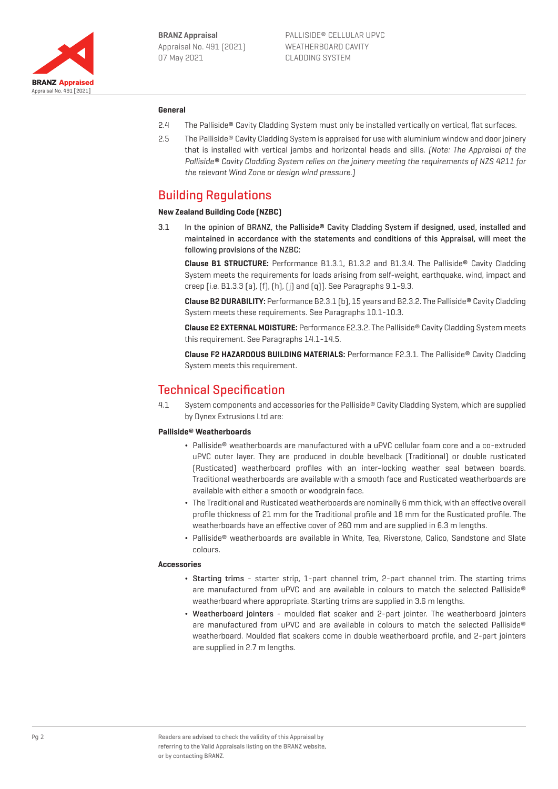

#### **General**

- 2.4 The Palliside® Cavity Cladding System must only be installed vertically on vertical, flat surfaces.
- 2.5 The Palliside® Cavity Cladding System is appraised for use with aluminium window and door joinery that is installed with vertical jambs and horizontal heads and sills. (Note: The Appraisal of the Palliside® Cavity Cladding System relies on the joinery meeting the requirements of NZS 4211 for the relevant Wind Zone or design wind pressure.)

## Building Regulations

#### **New Zealand Building Code (NZBC)**

3.1 In the opinion of BRANZ, the Palliside® Cavity Cladding System if designed, used, installed and maintained in accordance with the statements and conditions of this Appraisal, will meet the following provisions of the NZBC:

**Clause B1 STRUCTURE:** Performance B1.3.1, B1.3.2 and B1.3.4. The Palliside® Cavity Cladding System meets the requirements for loads arising from self-weight, earthquake, wind, impact and creep [i.e. B1.3.3 (a), (f), (h), (j) and (q)]. See Paragraphs 9.1-9.3.

**Clause B2 DURABILITY:** Performance B2.3.1 (b), 15 years and B2.3.2. The Palliside® Cavity Cladding System meets these requirements. See Paragraphs 10.1-10.3.

**Clause E2 EXTERNAL MOISTURE:** Performance E2.3.2. The Palliside® Cavity Cladding System meets this requirement. See Paragraphs 14.1-14.5.

**Clause F2 HAZARDOUS BUILDING MATERIALS:** Performance F2.3.1. The Palliside® Cavity Cladding System meets this requirement.

## Technical Specification

4.1 System components and accessories for the Palliside® Cavity Cladding System, which are supplied by Dynex Extrusions Ltd are:

#### **Palliside**® **Weatherboards**

- ¬ Palliside® weatherboards are manufactured with a uPVC cellular foam core and a co-extruded uPVC outer layer. They are produced in double bevelback (Traditional) or double rusticated (Rusticated) weatherboard profiles with an inter-locking weather seal between boards. Traditional weatherboards are available with a smooth face and Rusticated weatherboards are available with either a smooth or woodgrain face.
- ¬ The Traditional and Rusticated weatherboards are nominally 6 mm thick, with an effective overall profile thickness of 21 mm for the Traditional profile and 18 mm for the Rusticated profile. The weatherboards have an effective cover of 260 mm and are supplied in 6.3 m lengths.
- ¬ Palliside® weatherboards are available in White, Tea, Riverstone, Calico, Sandstone and Slate colours.

#### **Accessories**

- ¬ Starting trims starter strip, 1-part channel trim, 2-part channel trim. The starting trims are manufactured from uPVC and are available in colours to match the selected Palliside® weatherboard where appropriate. Starting trims are supplied in 3.6 m lengths.
- ¬ Weatherboard jointers moulded flat soaker and 2-part jointer. The weatherboard jointers are manufactured from uPVC and are available in colours to match the selected Palliside® weatherboard. Moulded flat soakers come in double weatherboard profile, and 2-part jointers are supplied in 2.7 m lengths.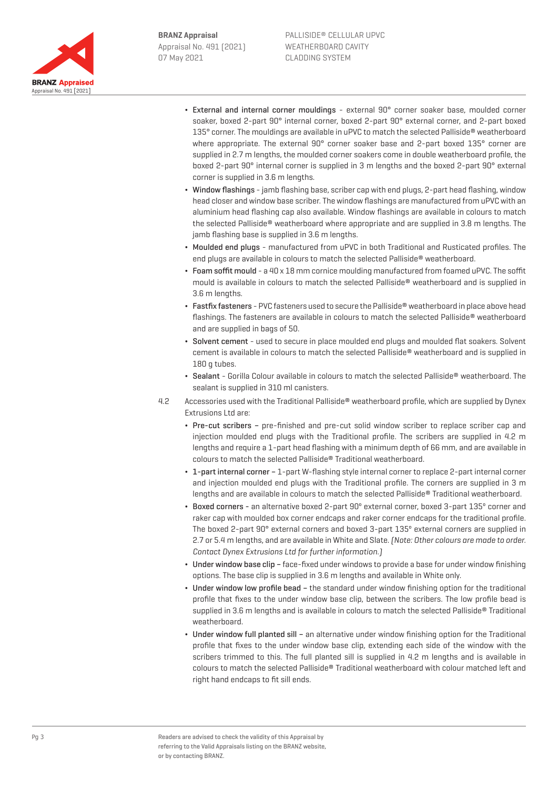

- External and internal corner mouldings external 90° corner soaker base, moulded corner soaker, boxed 2-part 90° internal corner, boxed 2-part 90° external corner, and 2-part boxed 135° corner. The mouldings are available in uPVC to match the selected Palliside® weatherboard where appropriate. The external 90° corner soaker base and 2-part boxed 135° corner are supplied in 2.7 m lengths, the moulded corner soakers come in double weatherboard profile, the boxed 2-part 90° internal corner is supplied in 3 m lengths and the boxed 2-part 90° external corner is supplied in 3.6 m lengths.
- Window flashings jamb flashing base, scriber cap with end plugs, 2-part head flashing, window head closer and window base scriber. The window flashings are manufactured from uPVC with an aluminium head flashing cap also available. Window flashings are available in colours to match the selected Palliside® weatherboard where appropriate and are supplied in 3.8 m lengths. The jamb flashing base is supplied in 3.6 m lengths.
- ¬ Moulded end plugs manufactured from uPVC in both Traditional and Rusticated profiles. The end plugs are available in colours to match the selected Palliside® weatherboard.
- ¬ Foam soffit mould a 40 x 18 mm cornice moulding manufactured from foamed uPVC. The soffit mould is available in colours to match the selected Palliside® weatherboard and is supplied in 3.6 m lengths.
- ¬ Fastfix fasteners PVC fasteners used to secure the Palliside® weatherboard in place above head flashings. The fasteners are available in colours to match the selected Palliside® weatherboard and are supplied in bags of 50.
- ¬ Solvent cement used to secure in place moulded end plugs and moulded flat soakers. Solvent cement is available in colours to match the selected Palliside® weatherboard and is supplied in 180 g tubes.
- ¬ Sealant Gorilla Colour available in colours to match the selected Palliside® weatherboard. The sealant is supplied in 310 ml canisters.
- 4.2 Accessories used with the Traditional Palliside® weatherboard profile, which are supplied by Dynex Extrusions Ltd are:
	- ¬ Pre-cut scribers pre-finished and pre-cut solid window scriber to replace scriber cap and injection moulded end plugs with the Traditional profile. The scribers are supplied in 4.2 m lengths and require a 1-part head flashing with a minimum depth of 66 mm, and are available in colours to match the selected Palliside® Traditional weatherboard.
	- ¬ 1-part internal corner 1-part W-flashing style internal corner to replace 2-part internal corner and injection moulded end plugs with the Traditional profile. The corners are supplied in 3 m lengths and are available in colours to match the selected Palliside® Traditional weatherboard.
	- ¬ Boxed corners an alternative boxed 2-part 90º external corner, boxed 3-part 135º corner and raker cap with moulded box corner endcaps and raker corner endcaps for the traditional profile. The boxed 2-part 90° external corners and boxed 3-part 135º external corners are supplied in 2.7 or 5.4 m lengths, and are available in White and Slate. (Note: Other colours are made to order. Contact Dynex Extrusions Ltd for further information.)
	- ¬ Under window base clip face-fixed under windows to provide a base for under window finishing options. The base clip is supplied in 3.6 m lengths and available in White only.
	- ¬ Under window low profile bead the standard under window finishing option for the traditional profile that fixes to the under window base clip, between the scribers. The low profile bead is supplied in 3.6 m lengths and is available in colours to match the selected Palliside® Traditional weatherboard.
	- ¬ Under window full planted sill an alternative under window finishing option for the Traditional profile that fixes to the under window base clip, extending each side of the window with the scribers trimmed to this. The full planted sill is supplied in 4.2 m lengths and is available in colours to match the selected Palliside® Traditional weatherboard with colour matched left and right hand endcaps to fit sill ends.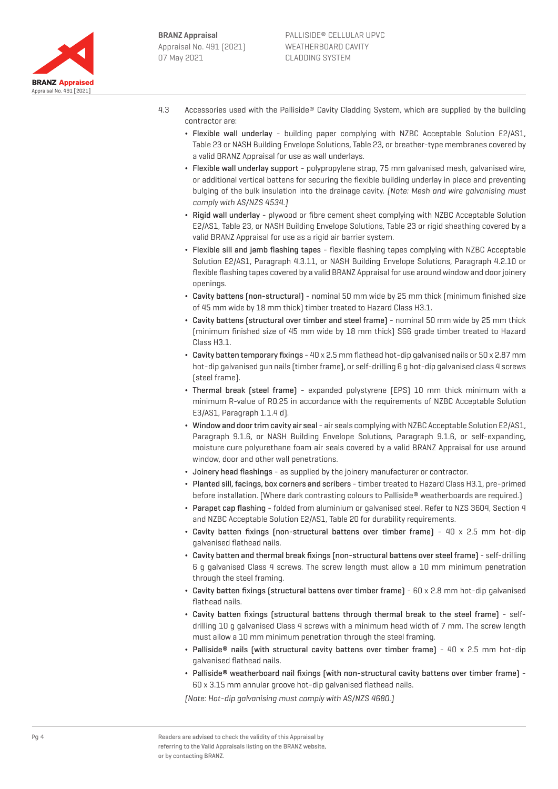

- 4.3 Accessories used with the Palliside® Cavity Cladding System, which are supplied by the building contractor are:
	- ¬ Flexible wall underlay building paper complying with NZBC Acceptable Solution E2/AS1, Table 23 or NASH Building Envelope Solutions, Table 23, or breather-type membranes covered by a valid BRANZ Appraisal for use as wall underlays.
	- ¬ Flexible wall underlay support polypropylene strap, 75 mm galvanised mesh, galvanised wire, or additional vertical battens for securing the flexible building underlay in place and preventing bulging of the bulk insulation into the drainage cavity. (Note: Mesh and wire galvanising must comply with AS/NZS 4534.)
	- Rigid wall underlay plywood or fibre cement sheet complying with NZBC Acceptable Solution E2/AS1, Table 23, or NASH Building Envelope Solutions, Table 23 or rigid sheathing covered by a valid BRANZ Appraisal for use as a rigid air barrier system.
	- ¬ Flexible sill and jamb flashing tapes flexible flashing tapes complying with NZBC Acceptable Solution E2/AS1, Paragraph 4.3.11, or NASH Building Envelope Solutions, Paragraph 4.2.10 or flexible flashing tapes covered by a valid BRANZ Appraisal for use around window and door joinery openings.
	- ¬ Cavity battens (non-structural) nominal 50 mm wide by 25 mm thick (minimum finished size of 45 mm wide by 18 mm thick) timber treated to Hazard Class H3.1.
	- ¬ Cavity battens (structural over timber and steel frame) nominal 50 mm wide by 25 mm thick (minimum finished size of 45 mm wide by 18 mm thick) SG6 grade timber treated to Hazard Class H3.1.
	- $\cdot$  Cavity batten temporary fixings 40 x 2.5 mm flathead hot-dip galvanised nails or 50 x 2.87 mm hot-dip galvanised gun nails (timber frame), or self-drilling 6 g hot-dip galvanised class 4 screws (steel frame).
	- ¬ Thermal break (steel frame) expanded polystyrene (EPS) 10 mm thick minimum with a minimum R-value of R0.25 in accordance with the requirements of NZBC Acceptable Solution E3/AS1, Paragraph 1.1.4 d).
	- ¬ Window and door trim cavity air seal air seals complying with NZBC Acceptable Solution E2/AS1, Paragraph 9.1.6, or NASH Building Envelope Solutions, Paragraph 9.1.6, or self-expanding, moisture cure polyurethane foam air seals covered by a valid BRANZ Appraisal for use around window, door and other wall penetrations.
	- ¬ Joinery head flashings as supplied by the joinery manufacturer or contractor.
	- ¬ Planted sill, facings, box corners and scribers timber treated to Hazard Class H3.1, pre-primed before installation. [Where dark contrasting colours to Palliside<sup>®</sup> weatherboards are required.]
	- ¬ Parapet cap flashing folded from aluminium or galvanised steel. Refer to NZS 3604, Section 4 and NZBC Acceptable Solution E2/AS1, Table 20 for durability requirements.
	- Cavity batten fixings (non-structural battens over timber frame)  $40 \times 2.5$  mm hot-dip galvanised flathead nails.
	- ¬ Cavity batten and thermal break fixings (non-structural battens over steel frame) self-drilling 6 g galvanised Class 4 screws. The screw length must allow a 10 mm minimum penetration through the steel framing.
	- ¬ Cavity batten fixings (structural battens over timber frame) 60 x 2.8 mm hot-dip galvanised flathead nails.
	- ¬ Cavity batten fixings (structural battens through thermal break to the steel frame) selfdrilling 10 g galvanised Class 4 screws with a minimum head width of 7 mm. The screw length must allow a 10 mm minimum penetration through the steel framing.
	- Palliside<sup>®</sup> nails (with structural cavity battens over timber frame)  $40 \times 2.5$  mm hot-dip galvanised flathead nails.
	- ¬ Palliside® weatherboard nail fixings (with non-structural cavity battens over timber frame) 60 x 3.15 mm annular groove hot-dip galvanised flathead nails.

(Note: Hot-dip galvanising must comply with AS/NZS 4680.)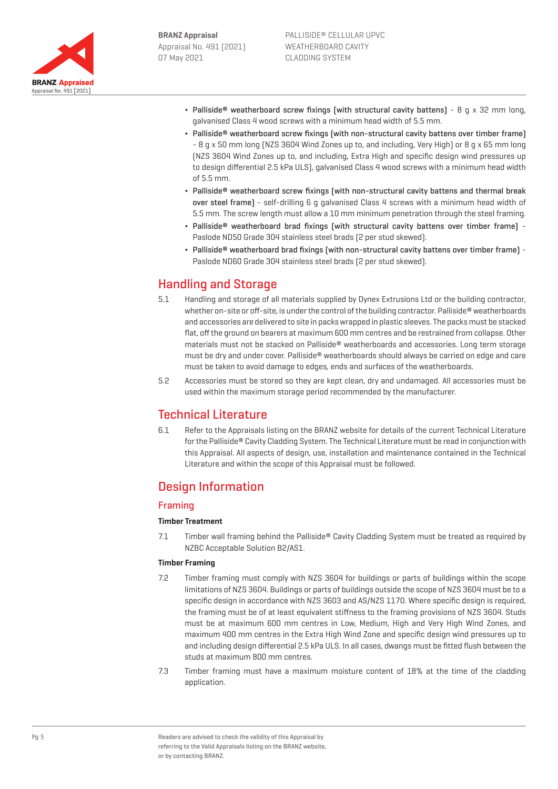

- Palliside® weatherboard screw fixings (with structural cavity battens) 8 g  $\times$  32 mm long, galvanised Class 4 wood screws with a minimum head width of 5.5 mm.
- Palliside<sup>®</sup> weatherboard screw fixings (with non-structural cavity battens over timber frame) - 8 g x 50 mm long (NZS 3604 Wind Zones up to, and including, Very High) or 8 g x 65 mm long (NZS 3604 Wind Zones up to, and including, Extra High and specific design wind pressures up to design differential 2.5 kPa ULS), galvanised Class 4 wood screws with a minimum head width of 5.5 mm.
- Palliside<sup>®</sup> weatherboard screw fixings (with non-structural cavity battens and thermal break over steel frame) - self-drilling 6 g galvanised Class 4 screws with a minimum head width of 5.5 mm. The screw length must allow a 10 mm minimum penetration through the steel framing.
- ¬ Palliside® weatherboard brad fixings (with structural cavity battens over timber frame) Paslode ND50 Grade 304 stainless steel brads (2 per stud skewed).
- ¬ Palliside® weatherboard brad fixings (with non-structural cavity battens over timber frame) Paslode ND60 Grade 304 stainless steel brads (2 per stud skewed).

# Handling and Storage

- 5.1 Handling and storage of all materials supplied by Dynex Extrusions Ltd or the building contractor, whether on-site or off-site, is under the control of the building contractor. Palliside® weatherboards and accessories are delivered to site in packs wrapped in plastic sleeves. The packs must be stacked flat, off the ground on bearers at maximum 600 mm centres and be restrained from collapse. Other materials must not be stacked on Palliside® weatherboards and accessories. Long term storage must be dry and under cover. Palliside® weatherboards should always be carried on edge and care must be taken to avoid damage to edges, ends and surfaces of the weatherboards.
- 5.2 Accessories must be stored so they are kept clean, dry and undamaged. All accessories must be used within the maximum storage period recommended by the manufacturer.

# Technical Literature

6.1 Refer to the Appraisals listing on the BRANZ website for details of the current Technical Literature for the Palliside® Cavity Cladding System. The Technical Literature must be read in conjunction with this Appraisal. All aspects of design, use, installation and maintenance contained in the Technical Literature and within the scope of this Appraisal must be followed.

# Design Information

## Framing

#### **Timber Treatment**

7.1 Timber wall framing behind the Palliside® Cavity Cladding System must be treated as required by NZBC Acceptable Solution B2/AS1.

#### **Timber Framing**

- 7.2 Timber framing must comply with NZS 3604 for buildings or parts of buildings within the scope limitations of NZS 3604. Buildings or parts of buildings outside the scope of NZS 3604 must be to a specific design in accordance with NZS 3603 and AS/NZS 1170. Where specific design is required, the framing must be of at least equivalent stiffness to the framing provisions of NZS 3604. Studs must be at maximum 600 mm centres in Low, Medium, High and Very High Wind Zones, and maximum 400 mm centres in the Extra High Wind Zone and specific design wind pressures up to and including design differential 2.5 kPa ULS. In all cases, dwangs must be fitted flush between the studs at maximum 800 mm centres.
- 7.3 Timber framing must have a maximum moisture content of 18% at the time of the cladding application.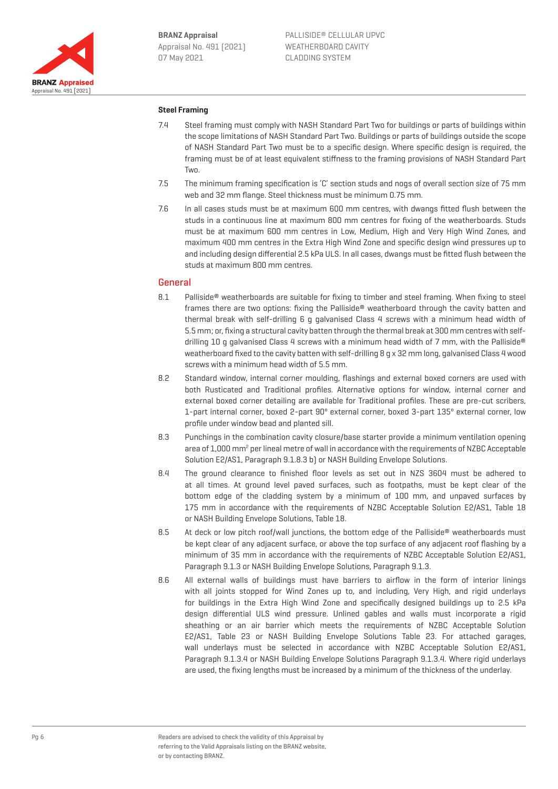

#### **Steel Framing**

- 7.4 Steel framing must comply with NASH Standard Part Two for buildings or parts of buildings within the scope limitations of NASH Standard Part Two. Buildings or parts of buildings outside the scope of NASH Standard Part Two must be to a specific design. Where specific design is required, the framing must be of at least equivalent stiffness to the framing provisions of NASH Standard Part Two.
- 7.5 The minimum framing specification is 'C' section studs and nogs of overall section size of 75 mm web and 32 mm flange. Steel thickness must be minimum 0.75 mm.
- 7.6 In all cases studs must be at maximum 600 mm centres, with dwangs fitted flush between the studs in a continuous line at maximum 800 mm centres for fixing of the weatherboards. Studs must be at maximum 600 mm centres in Low, Medium, High and Very High Wind Zones, and maximum 400 mm centres in the Extra High Wind Zone and specific design wind pressures up to and including design differential 2.5 kPa ULS. In all cases, dwangs must be fitted flush between the studs at maximum 800 mm centres.

#### General

- 8.1 Palliside<sup>®</sup> weatherboards are suitable for fixing to timber and steel framing. When fixing to steel frames there are two options: fixing the Palliside® weatherboard through the cavity batten and thermal break with self-drilling 6 g galvanised Class 4 screws with a minimum head width of 5.5 mm; or, fixing a structural cavity batten through the thermal break at 300 mm centres with selfdrilling 10 g galvanised Class 4 screws with a minimum head width of 7 mm, with the Palliside® weatherboard fixed to the cavity batten with self-drilling 8 g x 32 mm long, galvanised Class 4 wood screws with a minimum head width of 5.5 mm.
- 8.2 Standard window, internal corner moulding, flashings and external boxed corners are used with both Rusticated and Traditional profiles. Alternative options for window, internal corner and external boxed corner detailing are available for Traditional profiles. These are pre-cut scribers, 1-part internal corner, boxed 2-part 90º external corner, boxed 3-part 135º external corner, low profile under window bead and planted sill.
- 8.3 Punchings in the combination cavity closure/base starter provide a minimum ventilation opening area of 1,000 mm<sup>2</sup> per lineal metre of wall in accordance with the requirements of NZBC Acceptable Solution E2/AS1, Paragraph 9.1.8.3 b) or NASH Building Envelope Solutions.
- 8.4 The ground clearance to finished floor levels as set out in NZS 3604 must be adhered to at all times. At ground level paved surfaces, such as footpaths, must be kept clear of the bottom edge of the cladding system by a minimum of 100 mm, and unpaved surfaces by 175 mm in accordance with the requirements of NZBC Acceptable Solution E2/AS1, Table 18 or NASH Building Envelope Solutions, Table 18.
- 8.5 At deck or low pitch roof/wall junctions, the bottom edge of the Palliside® weatherboards must be kept clear of any adjacent surface, or above the top surface of any adjacent roof flashing by a minimum of 35 mm in accordance with the requirements of NZBC Acceptable Solution E2/AS1, Paragraph 9.1.3 or NASH Building Envelope Solutions, Paragraph 9.1.3.
- 8.6 All external walls of buildings must have barriers to airflow in the form of interior linings with all joints stopped for Wind Zones up to, and including, Very High, and rigid underlays for buildings in the Extra High Wind Zone and specifically designed buildings up to 2.5 kPa design differential ULS wind pressure. Unlined gables and walls must incorporate a rigid sheathing or an air barrier which meets the requirements of NZBC Acceptable Solution E2/AS1, Table 23 or NASH Building Envelope Solutions Table 23. For attached garages, wall underlays must be selected in accordance with NZBC Acceptable Solution E2/AS1, Paragraph 9.1.3.4 or NASH Building Envelope Solutions Paragraph 9.1.3.4. Where rigid underlays are used, the fixing lengths must be increased by a minimum of the thickness of the underlay.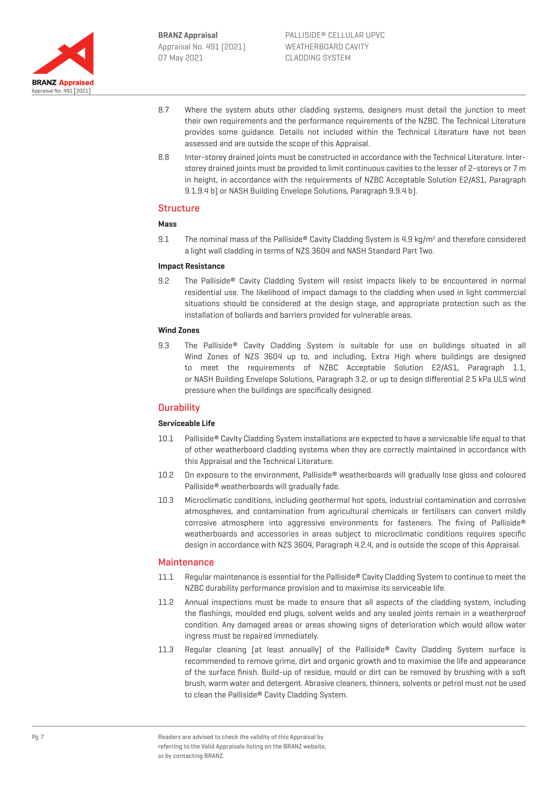

- 8.7 Where the system abuts other cladding systems, designers must detail the junction to meet their own requirements and the performance requirements of the NZBC. The Technical Literature provides some guidance. Details not included within the Technical Literature have not been assessed and are outside the scope of this Appraisal.
- 8.8 Inter-storey drained joints must be constructed in accordance with the Technical Literature. Interstorey drained joints must be provided to limit continuous cavities to the lesser of 2-storeys or 7 m in height, in accordance with the requirements of NZBC Acceptable Solution E2/AS1, Paragraph 9.1.9.4 b) or NASH Building Envelope Solutions, Paragraph 9.9.4 b).

#### **Structure**

#### **Mass**

9.1 The nominal mass of the Palliside<sup>®</sup> Cavity Cladding System is 4.9 kg/m<sup>2</sup> and therefore considered a light wall cladding in terms of NZS 3604 and NASH Standard Part Two.

#### **Impact Resistance**

9.2 The Palliside<sup>®</sup> Cavity Cladding System will resist impacts likely to be encountered in normal residential use. The likelihood of impact damage to the cladding when used in light commercial situations should be considered at the design stage, and appropriate protection such as the installation of bollards and barriers provided for vulnerable areas.

#### **Wind Zones**

9.3 The Palliside® Cavity Cladding System is suitable for use on buildings situated in all Wind Zones of NZS 3604 up to, and including, Extra High where buildings are designed to meet the requirements of NZBC Acceptable Solution E2/AS1, Paragraph 1.1, or NASH Building Envelope Solutions, Paragraph 3.2, or up to design differential 2.5 kPa ULS wind pressure when the buildings are specifically designed.

## **Durability**

#### **Serviceable Life**

- 10.1 Palliside® Cavity Cladding System installations are expected to have a serviceable life equal to that of other weatherboard cladding systems when they are correctly maintained in accordance with this Appraisal and the Technical Literature.
- 10.2 On exposure to the environment, Palliside® weatherboards will gradually lose gloss and coloured Palliside® weatherboards will gradually fade.
- 10.3 Microclimatic conditions, including geothermal hot spots, industrial contamination and corrosive atmospheres, and contamination from agricultural chemicals or fertilisers can convert mildly corrosive atmosphere into aggressive environments for fasteners. The fixing of Palliside® weatherboards and accessories in areas subject to microclimatic conditions requires specific design in accordance with NZS 3604, Paragraph 4.2.4, and is outside the scope of this Appraisal.

#### **Maintenance**

- 11.1 Regular maintenance is essential for the Palliside® Cavity Cladding System to continue to meet the NZBC durability performance provision and to maximise its serviceable life.
- 11.2 Annual inspections must be made to ensure that all aspects of the cladding system, including the flashings, moulded end plugs, solvent welds and any sealed joints remain in a weatherproof condition. Any damaged areas or areas showing signs of deterioration which would allow water ingress must be repaired immediately.
- 11.3 Regular cleaning (at least annually) of the Palliside® Cavity Cladding System surface is recommended to remove grime, dirt and organic growth and to maximise the life and appearance of the surface finish. Build-up of residue, mould or dirt can be removed by brushing with a soft brush, warm water and detergent. Abrasive cleaners, thinners, solvents or petrol must not be used to clean the Palliside® Cavity Cladding System.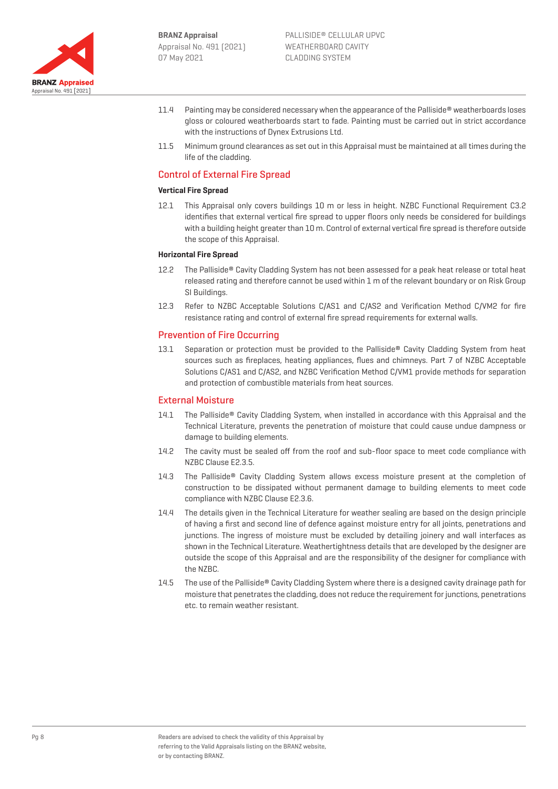

- 11.4 Painting may be considered necessary when the appearance of the Palliside® weatherboards loses gloss or coloured weatherboards start to fade. Painting must be carried out in strict accordance with the instructions of Dynex Extrusions Ltd.
- 11.5 Minimum ground clearances as set out in this Appraisal must be maintained at all times during the life of the cladding.

## Control of External Fire Spread

#### **Vertical Fire Spread**

12.1 This Appraisal only covers buildings 10 m or less in height. NZBC Functional Requirement C3.2 identifies that external vertical fire spread to upper floors only needs be considered for buildings with a building height greater than 10 m. Control of external vertical fire spread is therefore outside the scope of this Appraisal.

#### **Horizontal Fire Spread**

- 12.2 The Palliside® Cavity Cladding System has not been assessed for a peak heat release or total heat released rating and therefore cannot be used within 1 m of the relevant boundary or on Risk Group SI Buildings.
- 12.3 Refer to NZBC Acceptable Solutions C/AS1 and C/AS2 and Verification Method C/VM2 for fire resistance rating and control of external fire spread requirements for external walls.

#### Prevention of Fire Occurring

13.1 Separation or protection must be provided to the Palliside® Cavity Cladding System from heat sources such as fireplaces, heating appliances, flues and chimneys. Part 7 of NZBC Acceptable Solutions C/AS1 and C/AS2, and NZBC Verification Method C/VM1 provide methods for separation and protection of combustible materials from heat sources.

#### External Moisture

- 14.1 The Palliside® Cavity Cladding System, when installed in accordance with this Appraisal and the Technical Literature, prevents the penetration of moisture that could cause undue dampness or damage to building elements.
- 14.2 The cavity must be sealed off from the roof and sub-floor space to meet code compliance with NZBC Clause E2.3.5.
- 14.3 The Palliside® Cavity Cladding System allows excess moisture present at the completion of construction to be dissipated without permanent damage to building elements to meet code compliance with NZBC Clause E2.3.6.
- 14.4 The details given in the Technical Literature for weather sealing are based on the design principle of having a first and second line of defence against moisture entry for all joints, penetrations and junctions. The ingress of moisture must be excluded by detailing joinery and wall interfaces as shown in the Technical Literature. Weathertightness details that are developed by the designer are outside the scope of this Appraisal and are the responsibility of the designer for compliance with the NZBC.
- 14.5 The use of the Palliside® Cavity Cladding System where there is a designed cavity drainage path for moisture that penetrates the cladding, does not reduce the requirement for junctions, penetrations etc. to remain weather resistant.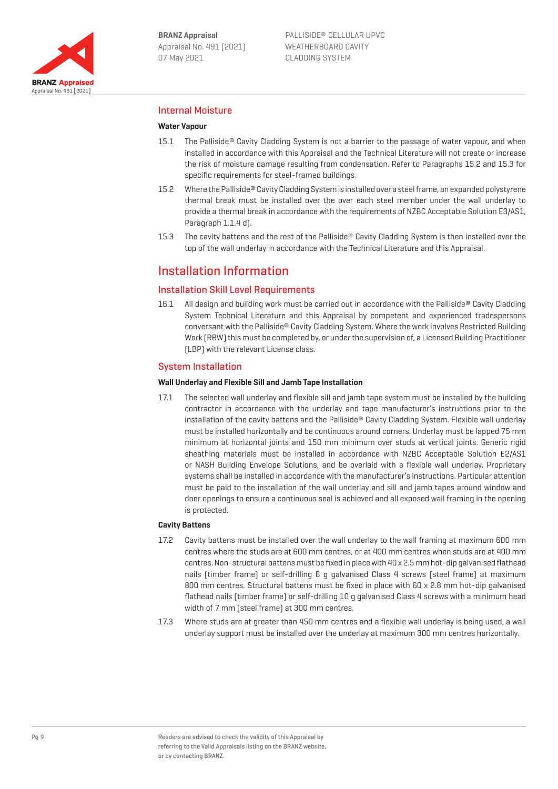

## Internal Moisture

## **Water Vapour**

- 15.1 The Palliside® Cavity Cladding System is not a barrier to the passage of water vapour, and when installed in accordance with this Appraisal and the Technical Literature will not create or increase the risk of moisture damage resulting from condensation. Refer to Paragraphs 15.2 and 15.3 for specific requirements for steel-framed buildings.
- 15.2 Where the Palliside® Cavity Cladding System is installed over a steel frame, an expanded polystyrene thermal break must be installed over the over each steel member under the wall underlay to provide a thermal break in accordance with the requirements of NZBC Acceptable Solution E3/AS1, Paragraph 1.1.4 d).
- 15.3 The cavity battens and the rest of the Palliside® Cavity Cladding System is then installed over the top of the wall underlay in accordance with the Technical Literature and this Appraisal.

## Installation Information

## Installation Skill Level Requirements

16.1 All design and building work must be carried out in accordance with the Palliside® Cavity Cladding System Technical Literature and this Appraisal by competent and experienced tradespersons conversant with the Palliside® Cavity Cladding System. Where the work involves Restricted Building Work (RBW) this must be completed by, or under the supervision of, a Licensed Building Practitioner (LBP) with the relevant License class.

## System Installation

#### **Wall Underlay and Flexible Sill and Jamb Tape Installation**

17.1 The selected wall underlay and flexible sill and jamb tape system must be installed by the building contractor in accordance with the underlay and tape manufacturer's instructions prior to the installation of the cavity battens and the Palliside® Cavity Cladding System. Flexible wall underlay must be installed horizontally and be continuous around corners. Underlay must be lapped 75 mm minimum at horizontal joints and 150 mm minimum over studs at vertical joints. Generic rigid sheathing materials must be installed in accordance with NZBC Acceptable Solution E2/AS1 or NASH Building Envelope Solutions, and be overlaid with a flexible wall underlay. Proprietary systems shall be installed in accordance with the manufacturer's instructions. Particular attention must be paid to the installation of the wall underlay and sill and jamb tapes around window and door openings to ensure a continuous seal is achieved and all exposed wall framing in the opening is protected.

#### **Cavity Battens**

- 17.2 Cavity battens must be installed over the wall underlay to the wall framing at maximum 600 mm centres where the studs are at 600 mm centres, or at 400 mm centres when studs are at 400 mm centres. Non-structural battens must be fixed in place with 40 x 2.5 mm hot-dip galvanised flathead nails (timber frame) or self-drilling 6 g galvanised Class 4 screws (steel frame) at maximum 800 mm centres. Structural battens must be fixed in place with 60 x 2.8 mm hot-dip galvanised flathead nails (timber frame) or self-drilling 10 g galvanised Class 4 screws with a minimum head width of 7 mm (steel frame) at 300 mm centres.
- 17.3 Where studs are at greater than 450 mm centres and a flexible wall underlay is being used, a wall underlay support must be installed over the underlay at maximum 300 mm centres horizontally.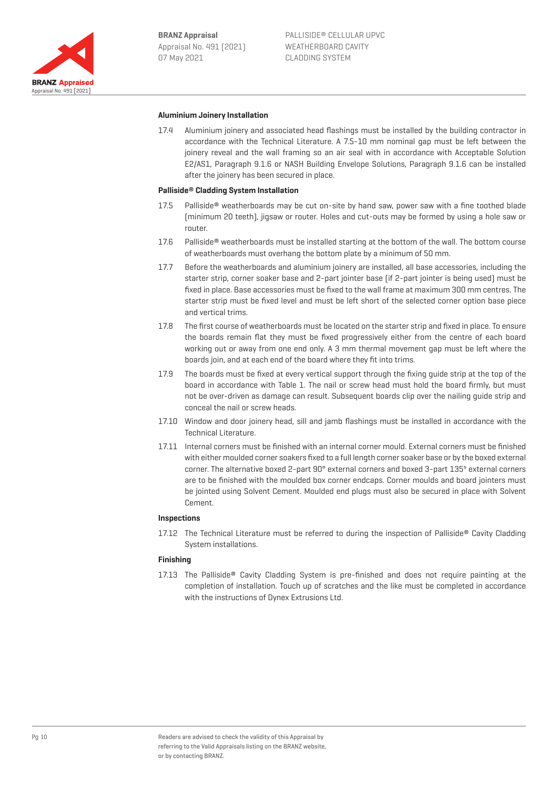**BRANZ Appraisal** Appraisal No. 491 (2021) 07 May 2021



#### **Aluminium Joinery Installation**

17.4 Aluminium joinery and associated head flashings must be installed by the building contractor in accordance with the Technical Literature. A 7.5-10 mm nominal gap must be left between the joinery reveal and the wall framing so an air seal with in accordance with Acceptable Solution E2/AS1, Paragraph 9.1.6 or NASH Building Envelope Solutions, Paragraph 9.1.6 can be installed after the joinery has been secured in place.

#### **Palliside**® **Cladding System Installation**

- 17.5 Palliside® weatherboards may be cut on-site by hand saw, power saw with a fine toothed blade (minimum 20 teeth), jigsaw or router. Holes and cut-outs may be formed by using a hole saw or router.
- 17.6 Palliside® weatherboards must be installed starting at the bottom of the wall. The bottom course of weatherboards must overhang the bottom plate by a minimum of 50 mm.
- 17.7 Before the weatherboards and aluminium joinery are installed, all base accessories, including the starter strip, corner soaker base and 2-part jointer base (if 2-part jointer is being used) must be fixed in place. Base accessories must be fixed to the wall frame at maximum 300 mm centres. The starter strip must be fixed level and must be left short of the selected corner option base piece and vertical trims.
- 17.8 The first course of weatherboards must be located on the starter strip and fixed in place. To ensure the boards remain flat they must be fixed progressively either from the centre of each board working out or away from one end only. A 3 mm thermal movement gap must be left where the boards join, and at each end of the board where they fit into trims.
- 17.9 The boards must be fixed at every vertical support through the fixing guide strip at the top of the board in accordance with Table 1. The nail or screw head must hold the board firmly, but must not be over-driven as damage can result. Subsequent boards clip over the nailing guide strip and conceal the nail or screw heads.
- 17.10 Window and door joinery head, sill and jamb flashings must be installed in accordance with the Technical Literature.
- 17.11 Internal corners must be finished with an internal corner mould. External corners must be finished with either moulded corner soakers fixed to a full length corner soaker base or by the boxed external corner. The alternative boxed 2-part 90° external corners and boxed 3-part 135º external corners are to be finished with the moulded box corner endcaps. Corner moulds and board jointers must be jointed using Solvent Cement. Moulded end plugs must also be secured in place with Solvent Cement.

#### **Inspections**

17.12 The Technical Literature must be referred to during the inspection of Palliside® Cavity Cladding System installations.

#### **Finishing**

17.13 The Palliside® Cavity Cladding System is pre-finished and does not require painting at the completion of installation. Touch up of scratches and the like must be completed in accordance with the instructions of Dynex Extrusions Ltd.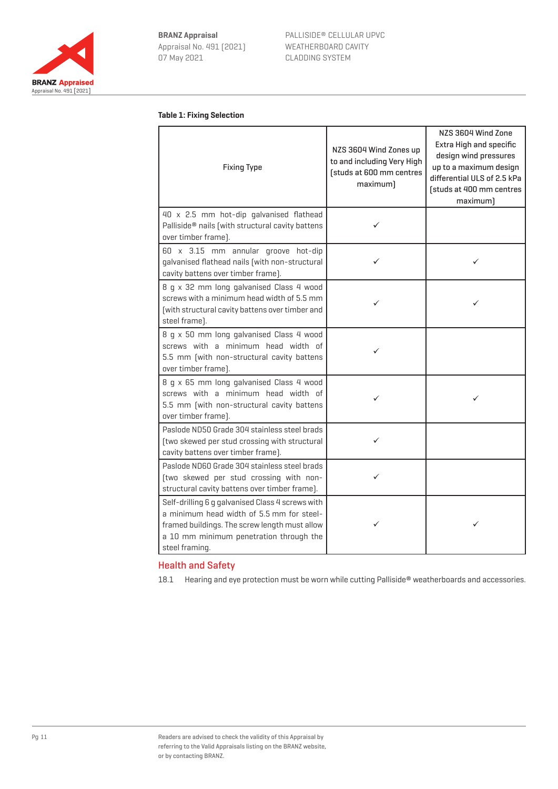

#### **Table 1: Fixing Selection**

| <b>Fixing Type</b>                                                                                                                                                                                          | NZS 3604 Wind Zones up<br>to and including Very High<br>[studs at 600 mm centres<br>maximum] | NZS 3604 Wind Zone<br>Extra High and specific<br>design wind pressures<br>up to a maximum design<br>differential ULS of 2.5 kPa<br>[studs at 400 mm centres<br>maximum) |
|-------------------------------------------------------------------------------------------------------------------------------------------------------------------------------------------------------------|----------------------------------------------------------------------------------------------|-------------------------------------------------------------------------------------------------------------------------------------------------------------------------|
| 40 x 2.5 mm hot-dip galvanised flathead<br>Palliside® nails [with structural cavity battens<br>over timber frame).                                                                                          | ✓                                                                                            |                                                                                                                                                                         |
| 60 x 3.15 mm annular groove hot-dip<br>galvanised flathead nails (with non-structural<br>cavity battens over timber frame].                                                                                 |                                                                                              | ✓                                                                                                                                                                       |
| 8 g x 32 mm long galvanised Class 4 wood<br>screws with a minimum head width of 5.5 mm<br>[with structural cavity battens over timber and<br>steel frame).                                                  | ✓                                                                                            | ✓                                                                                                                                                                       |
| 8 q x 50 mm long galvanised Class 4 wood<br>screws with a minimum head width of<br>5.5 mm (with non-structural cavity battens<br>over timber frame).                                                        | ✓                                                                                            |                                                                                                                                                                         |
| 8 q x 65 mm long galvanised Class 4 wood<br>screws with a minimum head width of<br>5.5 mm [with non-structural cavity battens<br>over timber frame).                                                        | ✓                                                                                            | ✓                                                                                                                                                                       |
| Paslode ND50 Grade 304 stainless steel brads<br>[two skewed per stud crossing with structural<br>cavity battens over timber frame].                                                                         | ✓                                                                                            |                                                                                                                                                                         |
| Paslode ND60 Grade 304 stainless steel brads<br>[two skewed per stud crossing with non-<br>structural cavity battens over timber frame).                                                                    | ✓                                                                                            |                                                                                                                                                                         |
| Self-drilling 6 g galvanised Class 4 screws with<br>a minimum head width of 5.5 mm for steel-<br>framed buildings. The screw length must allow<br>a 10 mm minimum penetration through the<br>steel framing. | ✓                                                                                            | ✓                                                                                                                                                                       |

## Health and Safety

18.1 Hearing and eye protection must be worn while cutting Palliside® weatherboards and accessories.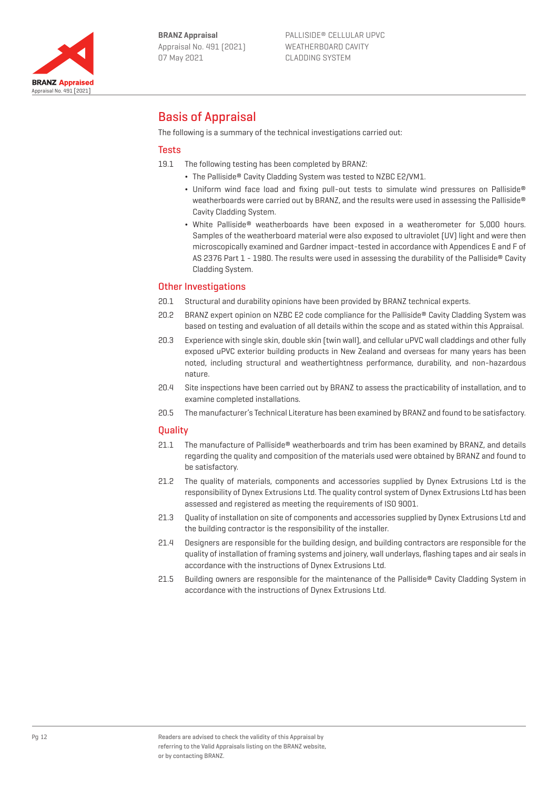

# Basis of Appraisal

The following is a summary of the technical investigations carried out:

## **Tests**

19.1 The following testing has been completed by BRANZ:

- ¬ The Palliside® Cavity Cladding System was tested to NZBC E2/VM1.
- ¬ Uniform wind face load and fixing pull-out tests to simulate wind pressures on Palliside® weatherboards were carried out by BRANZ, and the results were used in assessing the Palliside® Cavity Cladding System.
- ¬ White Palliside® weatherboards have been exposed in a weatherometer for 5,000 hours. Samples of the weatherboard material were also exposed to ultraviolet (UV) light and were then microscopically examined and Gardner impact-tested in accordance with Appendices E and F of AS 2376 Part 1 - 1980. The results were used in assessing the durability of the Palliside® Cavity Cladding System.

## Other Investigations

- 20.1 Structural and durability opinions have been provided by BRANZ technical experts.
- 20.2 BRANZ expert opinion on NZBC E2 code compliance for the Palliside® Cavity Cladding System was based on testing and evaluation of all details within the scope and as stated within this Appraisal.
- 20.3 Experience with single skin, double skin (twin wall), and cellular uPVC wall claddings and other fully exposed uPVC exterior building products in New Zealand and overseas for many years has been noted, including structural and weathertightness performance, durability, and non-hazardous nature.
- 20.4 Site inspections have been carried out by BRANZ to assess the practicability of installation, and to examine completed installations.
- 20.5 The manufacturer's Technical Literature has been examined by BRANZ and found to be satisfactory.

## **Quality**

- 21.1 The manufacture of Palliside® weatherboards and trim has been examined by BRANZ, and details regarding the quality and composition of the materials used were obtained by BRANZ and found to be satisfactory.
- 21.2 The quality of materials, components and accessories supplied by Dynex Extrusions Ltd is the responsibility of Dynex Extrusions Ltd. The quality control system of Dynex Extrusions Ltd has been assessed and registered as meeting the requirements of ISO 9001.
- 21.3 Quality of installation on site of components and accessories supplied by Dynex Extrusions Ltd and the building contractor is the responsibility of the installer.
- 21.4 Designers are responsible for the building design, and building contractors are responsible for the quality of installation of framing systems and joinery, wall underlays, flashing tapes and air seals in accordance with the instructions of Dynex Extrusions Ltd.
- 21.5 Building owners are responsible for the maintenance of the Palliside® Cavity Cladding System in accordance with the instructions of Dynex Extrusions Ltd.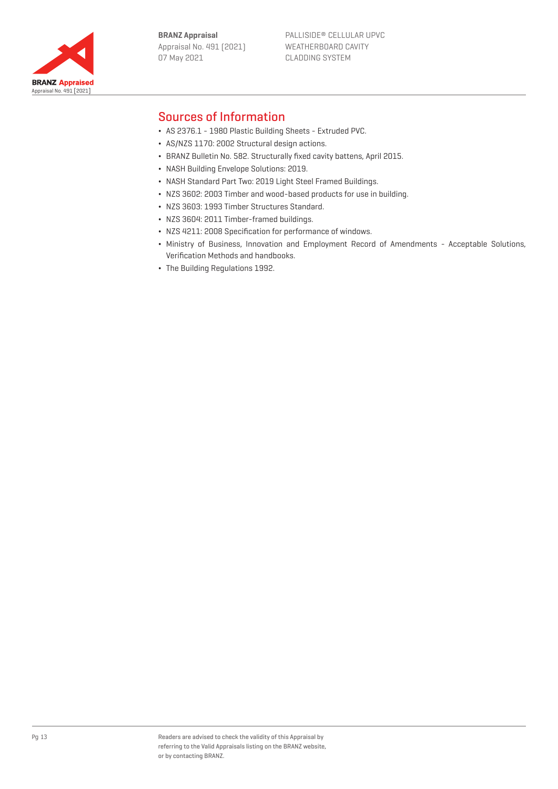**BRANZ Appraisal** Appraisal No. 491 (2021) 07 May 2021



## Sources of Information

- ¬ AS 2376.1 1980 Plastic Building Sheets Extruded PVC.
- ¬ AS/NZS 1170: 2002 Structural design actions.
- ¬ BRANZ Bulletin No. 582. Structurally fixed cavity battens, April 2015.
- ¬ NASH Building Envelope Solutions: 2019.
- ¬ NASH Standard Part Two: 2019 Light Steel Framed Buildings.
- ¬ NZS 3602: 2003 Timber and wood-based products for use in building.
- ¬ NZS 3603: 1993 Timber Structures Standard.
- ¬ NZS 3604: 2011 Timber-framed buildings.
- ¬ NZS 4211: 2008 Specification for performance of windows.
- ¬ Ministry of Business, Innovation and Employment Record of Amendments Acceptable Solutions, Verification Methods and handbooks.
- ¬ The Building Regulations 1992.